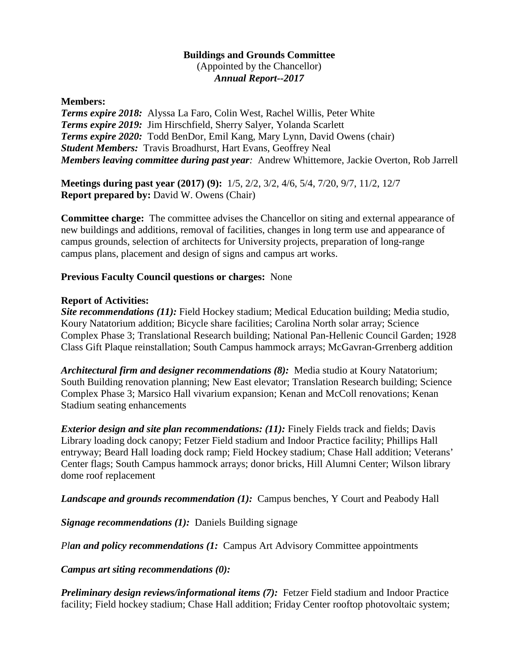## **Buildings and Grounds Committee** (Appointed by the Chancellor) *Annual Report--2017*

### **Members:**

*Terms expire 2018:* Alyssa La Faro, Colin West, Rachel Willis, Peter White *Terms expire 2019:* Jim Hirschfield, Sherry Salyer, Yolanda Scarlett *Terms expire 2020:* Todd BenDor, Emil Kang, Mary Lynn, David Owens (chair) *Student Members:* Travis Broadhurst, Hart Evans, Geoffrey Neal *Members leaving committee during past year:* Andrew Whittemore, Jackie Overton, Rob Jarrell

**Meetings during past year (2017) (9):** 1/5, 2/2, 3/2, 4/6, 5/4, 7/20, 9/7, 11/2, 12/7 **Report prepared by:** David W. Owens (Chair)

**Committee charge:** The committee advises the Chancellor on siting and external appearance of new buildings and additions, removal of facilities, changes in long term use and appearance of campus grounds, selection of architects for University projects, preparation of long-range campus plans, placement and design of signs and campus art works.

#### **Previous Faculty Council questions or charges:** None

#### **Report of Activities:**

*Site recommendations (11):* Field Hockey stadium; Medical Education building; Media studio, Koury Natatorium addition; Bicycle share facilities; Carolina North solar array; Science Complex Phase 3; Translational Research building; National Pan-Hellenic Council Garden; 1928 Class Gift Plaque reinstallation; South Campus hammock arrays; McGavran-Grrenberg addition

*Architectural firm and designer recommendations (8):* Media studio at Koury Natatorium; South Building renovation planning; New East elevator; Translation Research building; Science Complex Phase 3; Marsico Hall vivarium expansion; Kenan and McColl renovations; Kenan Stadium seating enhancements

*Exterior design and site plan recommendations: (11):* Finely Fields track and fields; Davis Library loading dock canopy; Fetzer Field stadium and Indoor Practice facility; Phillips Hall entryway; Beard Hall loading dock ramp; Field Hockey stadium; Chase Hall addition; Veterans' Center flags; South Campus hammock arrays; donor bricks, Hill Alumni Center; Wilson library dome roof replacement

*Landscape and grounds recommendation (1):* Campus benches, Y Court and Peabody Hall

*Signage recommendations (1):* Daniels Building signage

*Plan and policy recommendations (1:* Campus Art Advisory Committee appointments

*Campus art siting recommendations (0):* 

*Preliminary design reviews/informational items (7):* Fetzer Field stadium and Indoor Practice facility; Field hockey stadium; Chase Hall addition; Friday Center rooftop photovoltaic system;